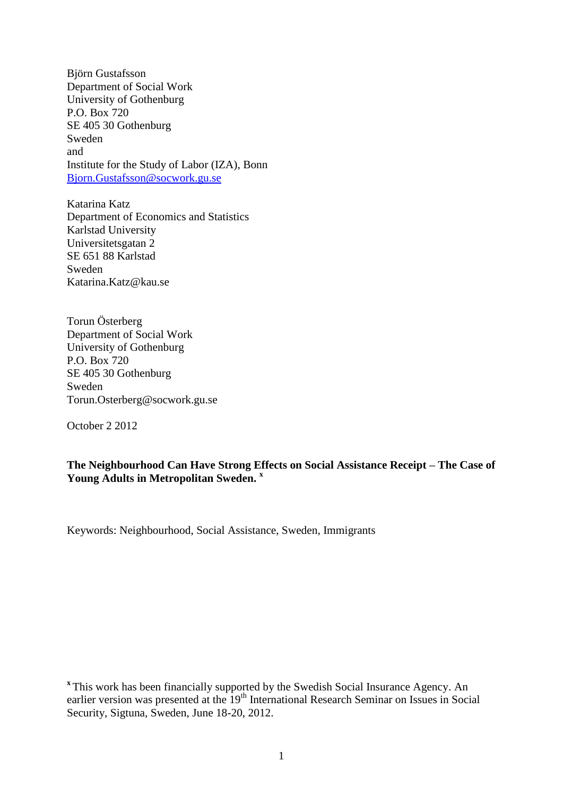Björn Gustafsson Department of Social Work University of Gothenburg P.O. Box 720 SE 405 30 Gothenburg Sweden and Institute for the Study of Labor (IZA), Bonn [Bjorn.Gustafsson@socwork.gu.se](mailto:Bjorn.Gustafsson@socwork.gu.se)

Katarina Katz Department of Economics and Statistics Karlstad University Universitetsgatan 2 SE 651 88 Karlstad Sweden Katarina.Katz@kau.se

Torun Österberg Department of Social Work University of Gothenburg P.O. Box 720 SE 405 30 Gothenburg Sweden Torun.Osterberg@socwork.gu.se

October 2 2012

**The Neighbourhood Can Have Strong Effects on Social Assistance Receipt – The Case of Young Adults in Metropolitan Sweden. <sup>x</sup>**

Keywords: Neighbourhood, Social Assistance, Sweden, Immigrants

**x** This work has been financially supported by the Swedish Social Insurance Agency. An earlier version was presented at the 19<sup>th</sup> International Research Seminar on Issues in Social Security, Sigtuna, Sweden, June 18-20, 2012.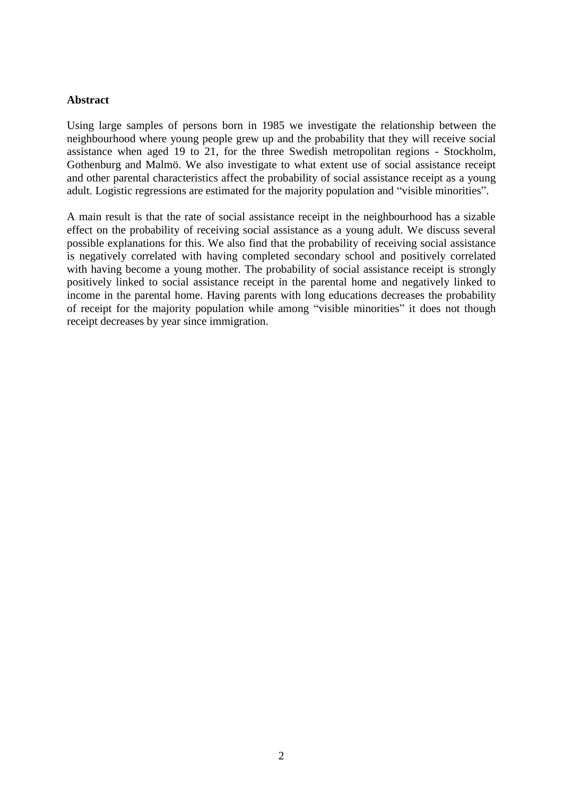### **Abstract**

Using large samples of persons born in 1985 we investigate the relationship between the neighbourhood where young people grew up and the probability that they will receive social assistance when aged 19 to 21, for the three Swedish metropolitan regions - Stockholm, Gothenburg and Malmö. We also investigate to what extent use of social assistance receipt and other parental characteristics affect the probability of social assistance receipt as a young adult. Logistic regressions are estimated for the majority population and "visible minorities".

A main result is that the rate of social assistance receipt in the neighbourhood has a sizable effect on the probability of receiving social assistance as a young adult. We discuss several possible explanations for this. We also find that the probability of receiving social assistance is negatively correlated with having completed secondary school and positively correlated with having become a young mother. The probability of social assistance receipt is strongly positively linked to social assistance receipt in the parental home and negatively linked to income in the parental home. Having parents with long educations decreases the probability of receipt for the majority population while among "visible minorities" it does not though receipt decreases by year since immigration.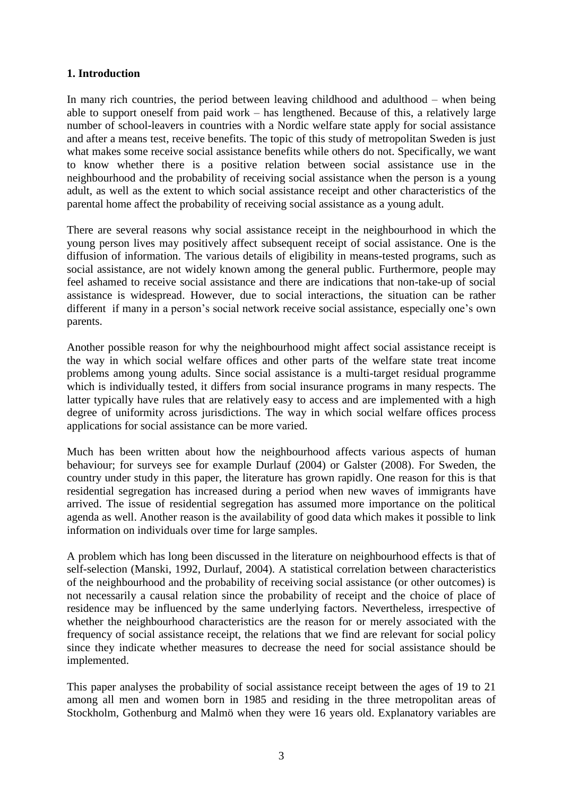# **1. Introduction**

In many rich countries, the period between leaving childhood and adulthood – when being able to support oneself from paid work – has lengthened. Because of this, a relatively large number of school-leavers in countries with a Nordic welfare state apply for social assistance and after a means test, receive benefits. The topic of this study of metropolitan Sweden is just what makes some receive social assistance benefits while others do not. Specifically, we want to know whether there is a positive relation between social assistance use in the neighbourhood and the probability of receiving social assistance when the person is a young adult, as well as the extent to which social assistance receipt and other characteristics of the parental home affect the probability of receiving social assistance as a young adult.

There are several reasons why social assistance receipt in the neighbourhood in which the young person lives may positively affect subsequent receipt of social assistance. One is the diffusion of information. The various details of eligibility in means-tested programs, such as social assistance, are not widely known among the general public. Furthermore, people may feel ashamed to receive social assistance and there are indications that non-take-up of social assistance is widespread. However, due to social interactions, the situation can be rather different if many in a person's social network receive social assistance, especially one's own parents.

Another possible reason for why the neighbourhood might affect social assistance receipt is the way in which social welfare offices and other parts of the welfare state treat income problems among young adults. Since social assistance is a multi-target residual programme which is individually tested, it differs from social insurance programs in many respects. The latter typically have rules that are relatively easy to access and are implemented with a high degree of uniformity across jurisdictions. The way in which social welfare offices process applications for social assistance can be more varied.

Much has been written about how the neighbourhood affects various aspects of human behaviour; for surveys see for example Durlauf (2004) or Galster (2008). For Sweden, the country under study in this paper, the literature has grown rapidly. One reason for this is that residential segregation has increased during a period when new waves of immigrants have arrived. The issue of residential segregation has assumed more importance on the political agenda as well. Another reason is the availability of good data which makes it possible to link information on individuals over time for large samples.

A problem which has long been discussed in the literature on neighbourhood effects is that of self-selection (Manski, 1992, Durlauf, 2004). A statistical correlation between characteristics of the neighbourhood and the probability of receiving social assistance (or other outcomes) is not necessarily a causal relation since the probability of receipt and the choice of place of residence may be influenced by the same underlying factors. Nevertheless, irrespective of whether the neighbourhood characteristics are the reason for or merely associated with the frequency of social assistance receipt, the relations that we find are relevant for social policy since they indicate whether measures to decrease the need for social assistance should be implemented.

This paper analyses the probability of social assistance receipt between the ages of 19 to 21 among all men and women born in 1985 and residing in the three metropolitan areas of Stockholm, Gothenburg and Malmö when they were 16 years old. Explanatory variables are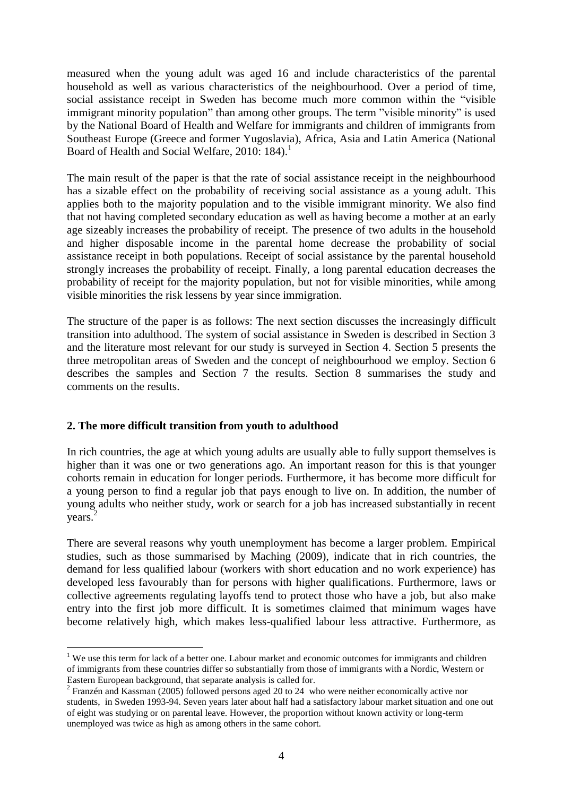measured when the young adult was aged 16 and include characteristics of the parental household as well as various characteristics of the neighbourhood. Over a period of time, social assistance receipt in Sweden has become much more common within the "visible immigrant minority population" than among other groups. The term "visible minority" is used by the National Board of Health and Welfare for immigrants and children of immigrants from Southeast Europe (Greece and former Yugoslavia), Africa, Asia and Latin America (National Board of Health and Social Welfare, 2010: 184). 1

The main result of the paper is that the rate of social assistance receipt in the neighbourhood has a sizable effect on the probability of receiving social assistance as a young adult. This applies both to the majority population and to the visible immigrant minority. We also find that not having completed secondary education as well as having become a mother at an early age sizeably increases the probability of receipt. The presence of two adults in the household and higher disposable income in the parental home decrease the probability of social assistance receipt in both populations. Receipt of social assistance by the parental household strongly increases the probability of receipt. Finally, a long parental education decreases the probability of receipt for the majority population, but not for visible minorities, while among visible minorities the risk lessens by year since immigration.

The structure of the paper is as follows: The next section discusses the increasingly difficult transition into adulthood. The system of social assistance in Sweden is described in Section 3 and the literature most relevant for our study is surveyed in Section 4. Section 5 presents the three metropolitan areas of Sweden and the concept of neighbourhood we employ. Section 6 describes the samples and Section 7 the results. Section 8 summarises the study and comments on the results.

#### **2. The more difficult transition from youth to adulthood**

1

In rich countries, the age at which young adults are usually able to fully support themselves is higher than it was one or two generations ago. An important reason for this is that younger cohorts remain in education for longer periods. Furthermore, it has become more difficult for a young person to find a regular job that pays enough to live on. In addition, the number of young adults who neither study, work or search for a job has increased substantially in recent years. 2

There are several reasons why youth unemployment has become a larger problem. Empirical studies, such as those summarised by Maching (2009), indicate that in rich countries, the demand for less qualified labour (workers with short education and no work experience) has developed less favourably than for persons with higher qualifications. Furthermore, laws or collective agreements regulating layoffs tend to protect those who have a job, but also make entry into the first job more difficult. It is sometimes claimed that minimum wages have become relatively high, which makes less-qualified labour less attractive. Furthermore, as

<sup>&</sup>lt;sup>1</sup> We use this term for lack of a better one. Labour market and economic outcomes for immigrants and children of immigrants from these countries differ so substantially from those of immigrants with a Nordic, Western or Eastern European background, that separate analysis is called for.

<sup>&</sup>lt;sup>2</sup> Franzén and Kassman (2005) followed persons aged 20 to 24 who were neither economically active nor students, in Sweden 1993-94. Seven years later about half had a satisfactory labour market situation and one out of eight was studying or on parental leave. However, the proportion without known activity or long-term unemployed was twice as high as among others in the same cohort.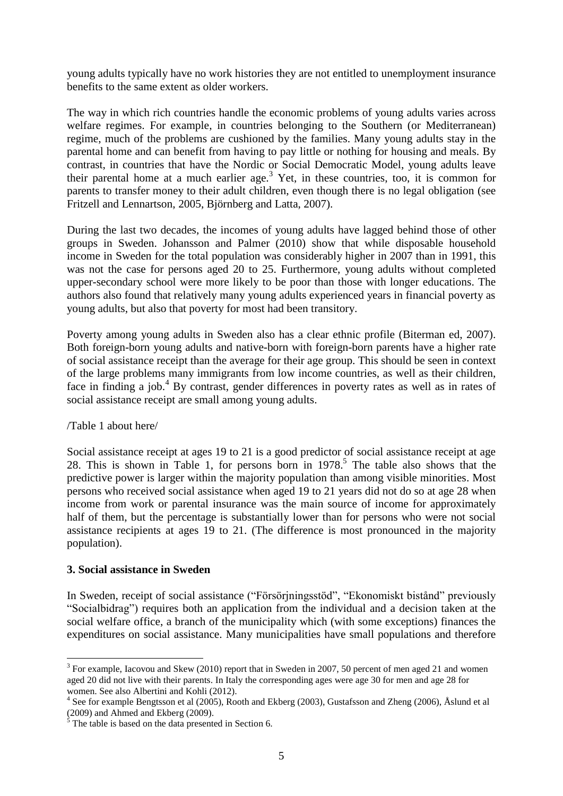young adults typically have no work histories they are not entitled to unemployment insurance benefits to the same extent as older workers.

The way in which rich countries handle the economic problems of young adults varies across welfare regimes. For example, in countries belonging to the Southern (or Mediterranean) regime, much of the problems are cushioned by the families. Many young adults stay in the parental home and can benefit from having to pay little or nothing for housing and meals. By contrast, in countries that have the Nordic or Social Democratic Model, young adults leave their parental home at a much earlier age.<sup>3</sup> Yet, in these countries, too, it is common for parents to transfer money to their adult children, even though there is no legal obligation (see Fritzell and Lennartson, 2005, Björnberg and Latta, 2007).

During the last two decades, the incomes of young adults have lagged behind those of other groups in Sweden. Johansson and Palmer (2010) show that while disposable household income in Sweden for the total population was considerably higher in 2007 than in 1991, this was not the case for persons aged 20 to 25. Furthermore, young adults without completed upper-secondary school were more likely to be poor than those with longer educations. The authors also found that relatively many young adults experienced years in financial poverty as young adults, but also that poverty for most had been transitory.

Poverty among young adults in Sweden also has a clear ethnic profile (Biterman ed, 2007). Both foreign-born young adults and native-born with foreign-born parents have a higher rate of social assistance receipt than the average for their age group. This should be seen in context of the large problems many immigrants from low income countries, as well as their children, face in finding a job.<sup>4</sup> By contrast, gender differences in poverty rates as well as in rates of social assistance receipt are small among young adults.

#### /Table 1 about here/

Social assistance receipt at ages 19 to 21 is a good predictor of social assistance receipt at age 28. This is shown in Table 1, for persons born in 1978. 5 The table also shows that the predictive power is larger within the majority population than among visible minorities. Most persons who received social assistance when aged 19 to 21 years did not do so at age 28 when income from work or parental insurance was the main source of income for approximately half of them, but the percentage is substantially lower than for persons who were not social assistance recipients at ages 19 to 21. (The difference is most pronounced in the majority population).

#### **3. Social assistance in Sweden**

<u>.</u>

In Sweden, receipt of social assistance ("Försörjningsstöd", "Ekonomiskt bistånd" previously "Socialbidrag") requires both an application from the individual and a decision taken at the social welfare office, a branch of the municipality which (with some exceptions) finances the expenditures on social assistance. Many municipalities have small populations and therefore

 $3$  For example, Iacovou and Skew (2010) report that in Sweden in 2007, 50 percent of men aged 21 and women aged 20 did not live with their parents. In Italy the corresponding ages were age 30 for men and age 28 for women. See also Albertini and Kohli (2012).

<sup>&</sup>lt;sup>4</sup> See for example Bengtsson et al (2005), Rooth and Ekberg (2003), Gustafsson and Zheng (2006), Åslund et al (2009) and Ahmed and Ekberg (2009).

 $\frac{5}{5}$  The table is based on the data presented in Section 6.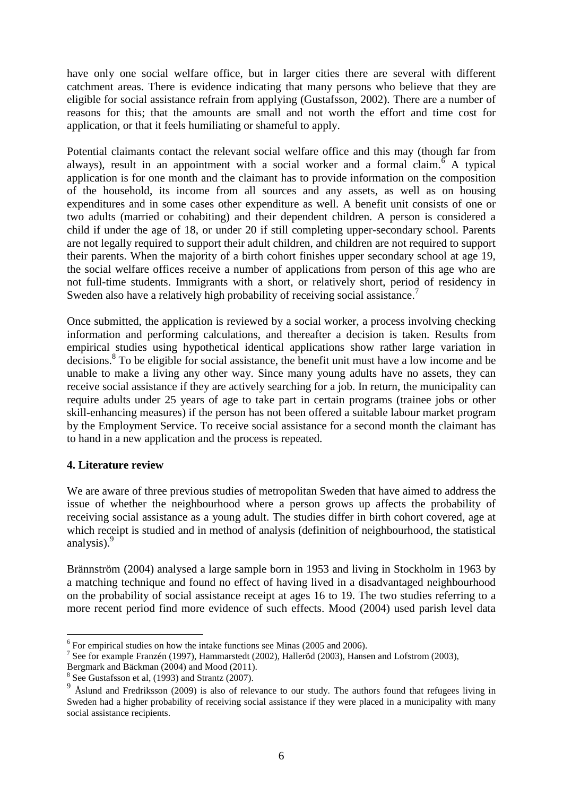have only one social welfare office, but in larger cities there are several with different catchment areas. There is evidence indicating that many persons who believe that they are eligible for social assistance refrain from applying (Gustafsson, 2002). There are a number of reasons for this; that the amounts are small and not worth the effort and time cost for application, or that it feels humiliating or shameful to apply.

Potential claimants contact the relevant social welfare office and this may (though far from always), result in an appointment with a social worker and a formal claim.<sup> $\delta$ </sup> A typical application is for one month and the claimant has to provide information on the composition of the household, its income from all sources and any assets, as well as on housing expenditures and in some cases other expenditure as well. A benefit unit consists of one or two adults (married or cohabiting) and their dependent children. A person is considered a child if under the age of 18, or under 20 if still completing upper-secondary school. Parents are not legally required to support their adult children, and children are not required to support their parents. When the majority of a birth cohort finishes upper secondary school at age 19, the social welfare offices receive a number of applications from person of this age who are not full-time students. Immigrants with a short, or relatively short, period of residency in Sweden also have a relatively high probability of receiving social assistance.<sup>7</sup>

Once submitted, the application is reviewed by a social worker, a process involving checking information and performing calculations, and thereafter a decision is taken. Results from empirical studies using hypothetical identical applications show rather large variation in decisions. 8 To be eligible for social assistance, the benefit unit must have a low income and be unable to make a living any other way. Since many young adults have no assets, they can receive social assistance if they are actively searching for a job. In return, the municipality can require adults under 25 years of age to take part in certain programs (trainee jobs or other skill-enhancing measures) if the person has not been offered a suitable labour market program by the Employment Service. To receive social assistance for a second month the claimant has to hand in a new application and the process is repeated.

# **4. Literature review**

<u>.</u>

We are aware of three previous studies of metropolitan Sweden that have aimed to address the issue of whether the neighbourhood where a person grows up affects the probability of receiving social assistance as a young adult. The studies differ in birth cohort covered, age at which receipt is studied and in method of analysis (definition of neighbourhood, the statistical analysis).<sup>9</sup>

Brännström (2004) analysed a large sample born in 1953 and living in Stockholm in 1963 by a matching technique and found no effect of having lived in a disadvantaged neighbourhood on the probability of social assistance receipt at ages 16 to 19. The two studies referring to a more recent period find more evidence of such effects. Mood (2004) used parish level data

<sup>&</sup>lt;sup>6</sup> For empirical studies on how the intake functions see Minas (2005 and 2006).

<sup>&</sup>lt;sup>7</sup> See for example Franzén (1997), Hammarstedt (2002), Halleröd (2003), Hansen and Lofstrom (2003),

Bergmark and Bäckman (2004) and Mood (2011).

<sup>&</sup>lt;sup>8</sup> See Gustafsson et al, (1993) and Strantz (2007).

 $9\text{ Åslund}$  and Fredriksson (2009) is also of relevance to our study. The authors found that refugees living in Sweden had a higher probability of receiving social assistance if they were placed in a municipality with many social assistance recipients.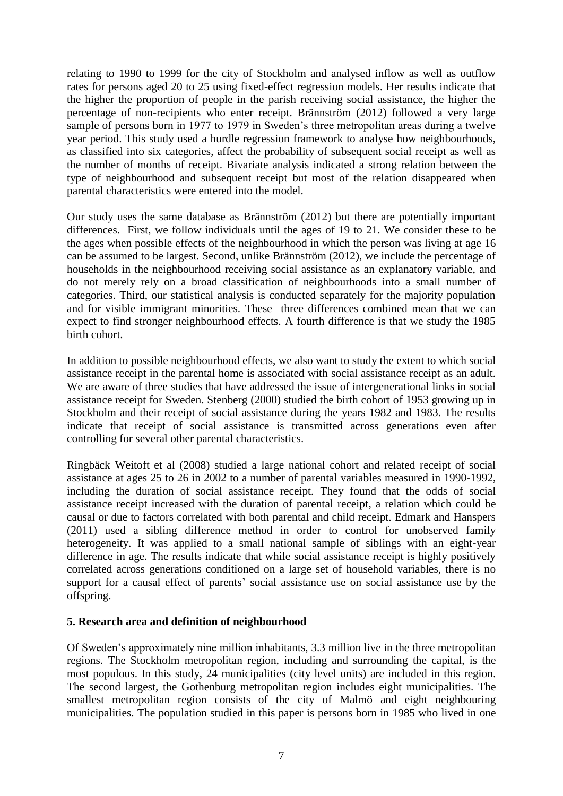relating to 1990 to 1999 for the city of Stockholm and analysed inflow as well as outflow rates for persons aged 20 to 25 using fixed-effect regression models. Her results indicate that the higher the proportion of people in the parish receiving social assistance, the higher the percentage of non-recipients who enter receipt. Brännström (2012) followed a very large sample of persons born in 1977 to 1979 in Sweden's three metropolitan areas during a twelve year period. This study used a hurdle regression framework to analyse how neighbourhoods, as classified into six categories, affect the probability of subsequent social receipt as well as the number of months of receipt. Bivariate analysis indicated a strong relation between the type of neighbourhood and subsequent receipt but most of the relation disappeared when parental characteristics were entered into the model.

Our study uses the same database as Brännström (2012) but there are potentially important differences. First, we follow individuals until the ages of 19 to 21. We consider these to be the ages when possible effects of the neighbourhood in which the person was living at age 16 can be assumed to be largest. Second, unlike Brännström (2012), we include the percentage of households in the neighbourhood receiving social assistance as an explanatory variable, and do not merely rely on a broad classification of neighbourhoods into a small number of categories. Third, our statistical analysis is conducted separately for the majority population and for visible immigrant minorities. These three differences combined mean that we can expect to find stronger neighbourhood effects. A fourth difference is that we study the 1985 birth cohort.

In addition to possible neighbourhood effects, we also want to study the extent to which social assistance receipt in the parental home is associated with social assistance receipt as an adult. We are aware of three studies that have addressed the issue of intergenerational links in social assistance receipt for Sweden. Stenberg (2000) studied the birth cohort of 1953 growing up in Stockholm and their receipt of social assistance during the years 1982 and 1983. The results indicate that receipt of social assistance is transmitted across generations even after controlling for several other parental characteristics.

Ringbäck Weitoft et al (2008) studied a large national cohort and related receipt of social assistance at ages 25 to 26 in 2002 to a number of parental variables measured in 1990-1992, including the duration of social assistance receipt. They found that the odds of social assistance receipt increased with the duration of parental receipt, a relation which could be causal or due to factors correlated with both parental and child receipt. Edmark and Hanspers (2011) used a sibling difference method in order to control for unobserved family heterogeneity. It was applied to a small national sample of siblings with an eight-year difference in age. The results indicate that while social assistance receipt is highly positively correlated across generations conditioned on a large set of household variables, there is no support for a causal effect of parents' social assistance use on social assistance use by the offspring.

#### **5. Research area and definition of neighbourhood**

Of Sweden's approximately nine million inhabitants, 3.3 million live in the three metropolitan regions. The Stockholm metropolitan region, including and surrounding the capital, is the most populous. In this study, 24 municipalities (city level units) are included in this region. The second largest, the Gothenburg metropolitan region includes eight municipalities. The smallest metropolitan region consists of the city of Malmö and eight neighbouring municipalities. The population studied in this paper is persons born in 1985 who lived in one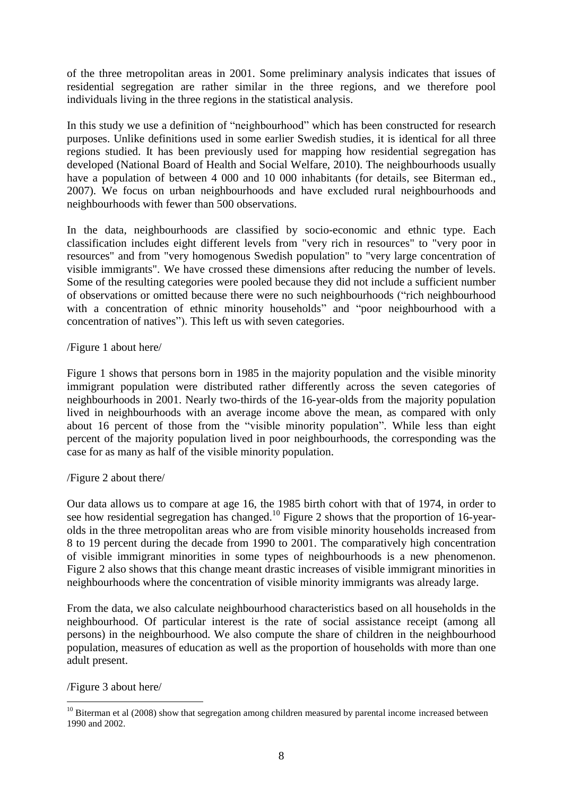of the three metropolitan areas in 2001. Some preliminary analysis indicates that issues of residential segregation are rather similar in the three regions, and we therefore pool individuals living in the three regions in the statistical analysis.

In this study we use a definition of "neighbourhood" which has been constructed for research purposes. Unlike definitions used in some earlier Swedish studies, it is identical for all three regions studied. It has been previously used for mapping how residential segregation has developed (National Board of Health and Social Welfare, 2010). The neighbourhoods usually have a population of between 4 000 and 10 000 inhabitants (for details, see Biterman ed., 2007). We focus on urban neighbourhoods and have excluded rural neighbourhoods and neighbourhoods with fewer than 500 observations.

In the data, neighbourhoods are classified by socio-economic and ethnic type. Each classification includes eight different levels from "very rich in resources" to "very poor in resources" and from "very homogenous Swedish population" to "very large concentration of visible immigrants". We have crossed these dimensions after reducing the number of levels. Some of the resulting categories were pooled because they did not include a sufficient number of observations or omitted because there were no such neighbourhoods ("rich neighbourhood with a concentration of ethnic minority households" and "poor neighbourhood with a concentration of natives"). This left us with seven categories.

### /Figure 1 about here/

Figure 1 shows that persons born in 1985 in the majority population and the visible minority immigrant population were distributed rather differently across the seven categories of neighbourhoods in 2001. Nearly two-thirds of the 16-year-olds from the majority population lived in neighbourhoods with an average income above the mean, as compared with only about 16 percent of those from the "visible minority population". While less than eight percent of the majority population lived in poor neighbourhoods, the corresponding was the case for as many as half of the visible minority population.

# /Figure 2 about there/

Our data allows us to compare at age 16, the 1985 birth cohort with that of 1974, in order to see how residential segregation has changed.<sup>10</sup> Figure 2 shows that the proportion of 16-yearolds in the three metropolitan areas who are from visible minority households increased from 8 to 19 percent during the decade from 1990 to 2001. The comparatively high concentration of visible immigrant minorities in some types of neighbourhoods is a new phenomenon. Figure 2 also shows that this change meant drastic increases of visible immigrant minorities in neighbourhoods where the concentration of visible minority immigrants was already large.

From the data, we also calculate neighbourhood characteristics based on all households in the neighbourhood. Of particular interest is the rate of social assistance receipt (among all persons) in the neighbourhood. We also compute the share of children in the neighbourhood population, measures of education as well as the proportion of households with more than one adult present.

/Figure 3 about here/

<u>.</u>

 $10$  Biterman et al (2008) show that segregation among children measured by parental income increased between 1990 and 2002.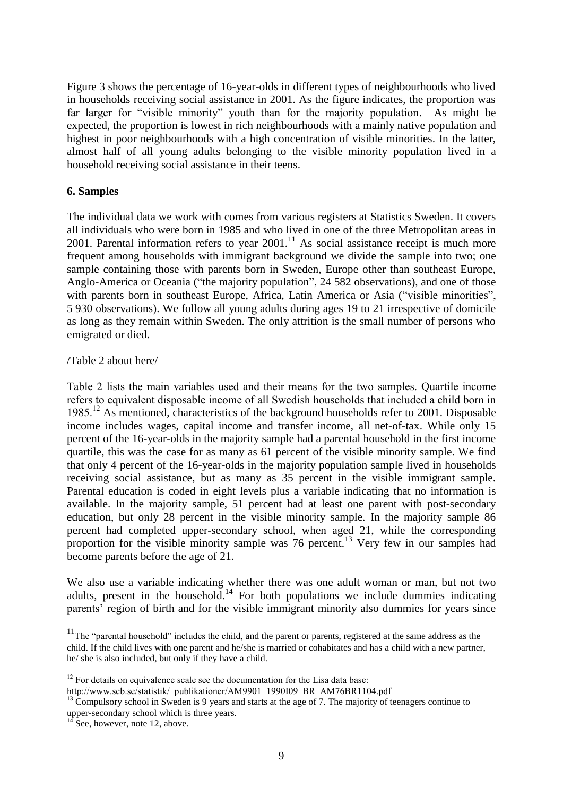Figure 3 shows the percentage of 16-year-olds in different types of neighbourhoods who lived in households receiving social assistance in 2001. As the figure indicates, the proportion was far larger for "visible minority" youth than for the majority population. As might be expected, the proportion is lowest in rich neighbourhoods with a mainly native population and highest in poor neighbourhoods with a high concentration of visible minorities. In the latter, almost half of all young adults belonging to the visible minority population lived in a household receiving social assistance in their teens.

### **6. Samples**

The individual data we work with comes from various registers at Statistics Sweden. It covers all individuals who were born in 1985 and who lived in one of the three Metropolitan areas in 2001. Parental information refers to year 2001. <sup>11</sup> As social assistance receipt is much more frequent among households with immigrant background we divide the sample into two; one sample containing those with parents born in Sweden, Europe other than southeast Europe, Anglo-America or Oceania ("the majority population", 24 582 observations), and one of those with parents born in southeast Europe, Africa, Latin America or Asia ("visible minorities", 5 930 observations). We follow all young adults during ages 19 to 21 irrespective of domicile as long as they remain within Sweden. The only attrition is the small number of persons who emigrated or died.

#### /Table 2 about here/

Table 2 lists the main variables used and their means for the two samples. Quartile income refers to equivalent disposable income of all Swedish households that included a child born in 1985.<sup>12</sup> As mentioned, characteristics of the background households refer to 2001. Disposable income includes wages, capital income and transfer income, all net-of-tax. While only 15 percent of the 16-year-olds in the majority sample had a parental household in the first income quartile, this was the case for as many as 61 percent of the visible minority sample. We find that only 4 percent of the 16-year-olds in the majority population sample lived in households receiving social assistance, but as many as 35 percent in the visible immigrant sample. Parental education is coded in eight levels plus a variable indicating that no information is available. In the majority sample, 51 percent had at least one parent with post-secondary education, but only 28 percent in the visible minority sample. In the majority sample 86 percent had completed upper-secondary school, when aged 21, while the corresponding proportion for the visible minority sample was 76 percent.<sup>13</sup> Very few in our samples had become parents before the age of 21.

We also use a variable indicating whether there was one adult woman or man, but not two adults, present in the household.<sup>14</sup> For both populations we include dummies indicating parents' region of birth and for the visible immigrant minority also dummies for years since

1

 $11$ The "parental household" includes the child, and the parent or parents, registered at the same address as the child. If the child lives with one parent and he/she is married or cohabitates and has a child with a new partner, he/ she is also included, but only if they have a child.

 $12$  For details on equivalence scale see the documentation for the Lisa data base:

http://www.scb.se/statistik/\_publikationer/AM9901\_1990I09\_BR\_AM76BR1104.pdf

 $13$  Compulsory school in Sweden is 9 years and starts at the age of 7. The majority of teenagers continue to upper-secondary school which is three years.

See, however, note 12, above.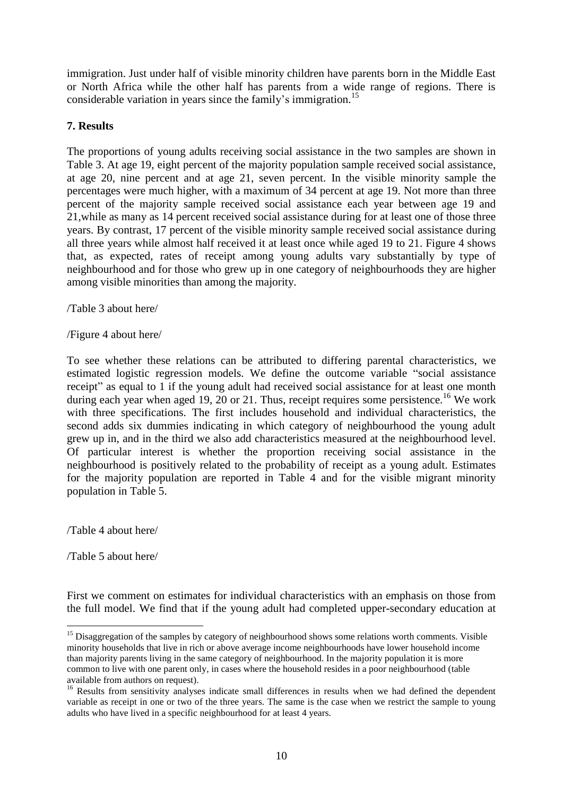immigration. Just under half of visible minority children have parents born in the Middle East or North Africa while the other half has parents from a wide range of regions. There is considerable variation in years since the family's immigration.<sup>15</sup>

### **7. Results**

The proportions of young adults receiving social assistance in the two samples are shown in Table 3. At age 19, eight percent of the majority population sample received social assistance, at age 20, nine percent and at age 21, seven percent. In the visible minority sample the percentages were much higher, with a maximum of 34 percent at age 19. Not more than three percent of the majority sample received social assistance each year between age 19 and 21,while as many as 14 percent received social assistance during for at least one of those three years. By contrast, 17 percent of the visible minority sample received social assistance during all three years while almost half received it at least once while aged 19 to 21. Figure 4 shows that, as expected, rates of receipt among young adults vary substantially by type of neighbourhood and for those who grew up in one category of neighbourhoods they are higher among visible minorities than among the majority.

/Table 3 about here/

/Figure 4 about here/

To see whether these relations can be attributed to differing parental characteristics, we estimated logistic regression models. We define the outcome variable "social assistance receipt" as equal to 1 if the young adult had received social assistance for at least one month during each year when aged 19, 20 or 21. Thus, receipt requires some persistence.<sup>16</sup> We work with three specifications. The first includes household and individual characteristics, the second adds six dummies indicating in which category of neighbourhood the young adult grew up in, and in the third we also add characteristics measured at the neighbourhood level. Of particular interest is whether the proportion receiving social assistance in the neighbourhood is positively related to the probability of receipt as a young adult. Estimates for the majority population are reported in Table 4 and for the visible migrant minority population in Table 5.

/Table 4 about here/

/Table 5 about here/

1

First we comment on estimates for individual characteristics with an emphasis on those from the full model. We find that if the young adult had completed upper-secondary education at

<sup>&</sup>lt;sup>15</sup> Disaggregation of the samples by category of neighbourhood shows some relations worth comments. Visible minority households that live in rich or above average income neighbourhoods have lower household income than majority parents living in the same category of neighbourhood. In the majority population it is more common to live with one parent only, in cases where the household resides in a poor neighbourhood (table available from authors on request).

<sup>&</sup>lt;sup>16</sup> Results from sensitivity analyses indicate small differences in results when we had defined the dependent variable as receipt in one or two of the three years. The same is the case when we restrict the sample to young adults who have lived in a specific neighbourhood for at least 4 years.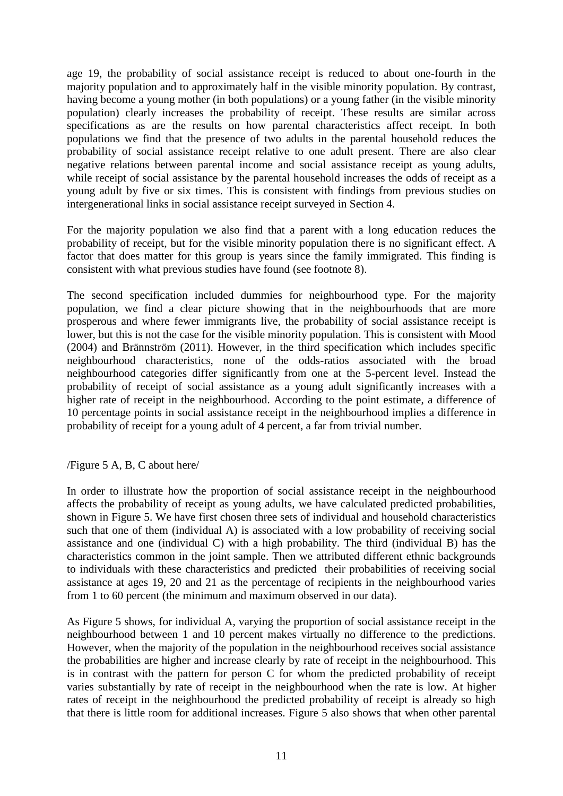age 19, the probability of social assistance receipt is reduced to about one-fourth in the majority population and to approximately half in the visible minority population. By contrast, having become a young mother (in both populations) or a young father (in the visible minority population) clearly increases the probability of receipt. These results are similar across specifications as are the results on how parental characteristics affect receipt. In both populations we find that the presence of two adults in the parental household reduces the probability of social assistance receipt relative to one adult present. There are also clear negative relations between parental income and social assistance receipt as young adults, while receipt of social assistance by the parental household increases the odds of receipt as a young adult by five or six times. This is consistent with findings from previous studies on intergenerational links in social assistance receipt surveyed in Section 4.

For the majority population we also find that a parent with a long education reduces the probability of receipt, but for the visible minority population there is no significant effect. A factor that does matter for this group is years since the family immigrated. This finding is consistent with what previous studies have found (see footnote 8).

The second specification included dummies for neighbourhood type. For the majority population, we find a clear picture showing that in the neighbourhoods that are more prosperous and where fewer immigrants live, the probability of social assistance receipt is lower, but this is not the case for the visible minority population. This is consistent with Mood (2004) and Brännström (2011). However, in the third specification which includes specific neighbourhood characteristics, none of the odds-ratios associated with the broad neighbourhood categories differ significantly from one at the 5-percent level. Instead the probability of receipt of social assistance as a young adult significantly increases with a higher rate of receipt in the neighbourhood. According to the point estimate, a difference of 10 percentage points in social assistance receipt in the neighbourhood implies a difference in probability of receipt for a young adult of 4 percent, a far from trivial number.

#### /Figure 5 A, B, C about here/

In order to illustrate how the proportion of social assistance receipt in the neighbourhood affects the probability of receipt as young adults, we have calculated predicted probabilities, shown in Figure 5. We have first chosen three sets of individual and household characteristics such that one of them (individual A) is associated with a low probability of receiving social assistance and one (individual C) with a high probability. The third (individual B) has the characteristics common in the joint sample. Then we attributed different ethnic backgrounds to individuals with these characteristics and predicted their probabilities of receiving social assistance at ages 19, 20 and 21 as the percentage of recipients in the neighbourhood varies from 1 to 60 percent (the minimum and maximum observed in our data).

As Figure 5 shows, for individual A, varying the proportion of social assistance receipt in the neighbourhood between 1 and 10 percent makes virtually no difference to the predictions. However, when the majority of the population in the neighbourhood receives social assistance the probabilities are higher and increase clearly by rate of receipt in the neighbourhood. This is in contrast with the pattern for person C for whom the predicted probability of receipt varies substantially by rate of receipt in the neighbourhood when the rate is low. At higher rates of receipt in the neighbourhood the predicted probability of receipt is already so high that there is little room for additional increases. Figure 5 also shows that when other parental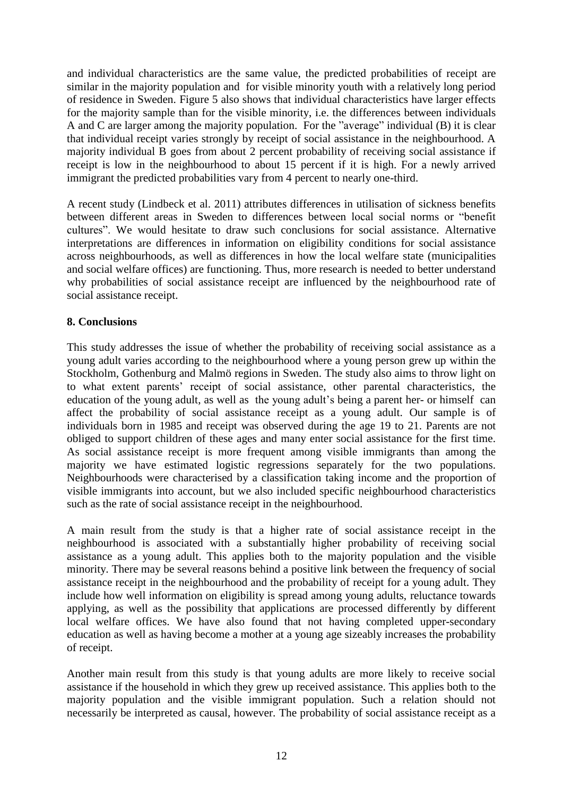and individual characteristics are the same value, the predicted probabilities of receipt are similar in the majority population and for visible minority youth with a relatively long period of residence in Sweden. Figure 5 also shows that individual characteristics have larger effects for the majority sample than for the visible minority, i.e. the differences between individuals A and C are larger among the majority population. For the "average" individual (B) it is clear that individual receipt varies strongly by receipt of social assistance in the neighbourhood. A majority individual B goes from about 2 percent probability of receiving social assistance if receipt is low in the neighbourhood to about 15 percent if it is high. For a newly arrived immigrant the predicted probabilities vary from 4 percent to nearly one-third.

A recent study (Lindbeck et al. 2011) attributes differences in utilisation of sickness benefits between different areas in Sweden to differences between local social norms or "benefit cultures". We would hesitate to draw such conclusions for social assistance. Alternative interpretations are differences in information on eligibility conditions for social assistance across neighbourhoods, as well as differences in how the local welfare state (municipalities and social welfare offices) are functioning. Thus, more research is needed to better understand why probabilities of social assistance receipt are influenced by the neighbourhood rate of social assistance receipt.

# **8. Conclusions**

This study addresses the issue of whether the probability of receiving social assistance as a young adult varies according to the neighbourhood where a young person grew up within the Stockholm, Gothenburg and Malmö regions in Sweden. The study also aims to throw light on to what extent parents' receipt of social assistance, other parental characteristics, the education of the young adult, as well as the young adult's being a parent her- or himself can affect the probability of social assistance receipt as a young adult. Our sample is of individuals born in 1985 and receipt was observed during the age 19 to 21. Parents are not obliged to support children of these ages and many enter social assistance for the first time. As social assistance receipt is more frequent among visible immigrants than among the majority we have estimated logistic regressions separately for the two populations. Neighbourhoods were characterised by a classification taking income and the proportion of visible immigrants into account, but we also included specific neighbourhood characteristics such as the rate of social assistance receipt in the neighbourhood.

A main result from the study is that a higher rate of social assistance receipt in the neighbourhood is associated with a substantially higher probability of receiving social assistance as a young adult. This applies both to the majority population and the visible minority. There may be several reasons behind a positive link between the frequency of social assistance receipt in the neighbourhood and the probability of receipt for a young adult. They include how well information on eligibility is spread among young adults, reluctance towards applying, as well as the possibility that applications are processed differently by different local welfare offices. We have also found that not having completed upper-secondary education as well as having become a mother at a young age sizeably increases the probability of receipt.

Another main result from this study is that young adults are more likely to receive social assistance if the household in which they grew up received assistance. This applies both to the majority population and the visible immigrant population. Such a relation should not necessarily be interpreted as causal, however. The probability of social assistance receipt as a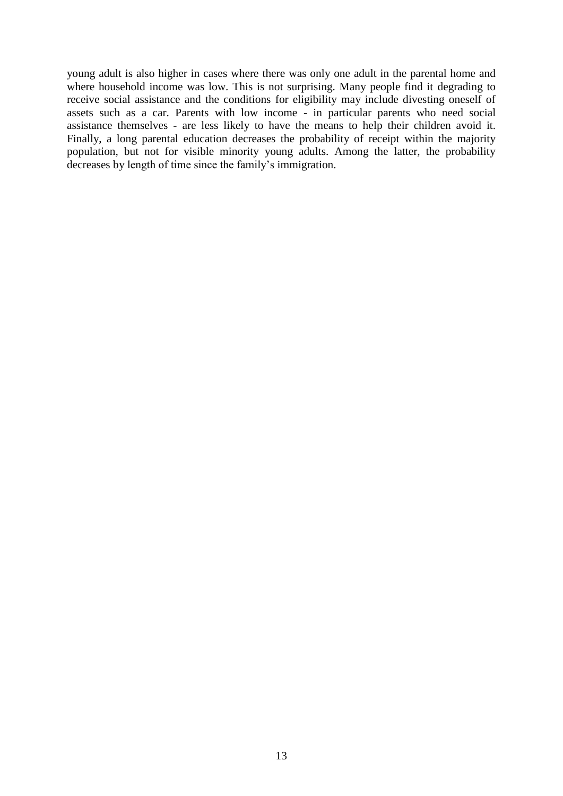young adult is also higher in cases where there was only one adult in the parental home and where household income was low. This is not surprising. Many people find it degrading to receive social assistance and the conditions for eligibility may include divesting oneself of assets such as a car. Parents with low income - in particular parents who need social assistance themselves - are less likely to have the means to help their children avoid it. Finally, a long parental education decreases the probability of receipt within the majority population, but not for visible minority young adults. Among the latter, the probability decreases by length of time since the family's immigration.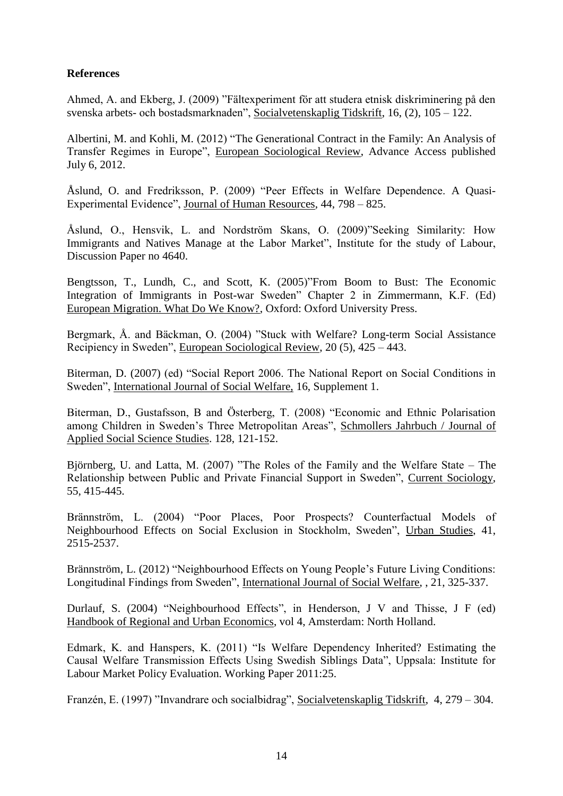# **References**

Ahmed, A. and Ekberg, J. (2009) "Fältexperiment för att studera etnisk diskriminering på den svenska arbets- och bostadsmarknaden", Socialvetenskaplig Tidskrift, 16, (2), 105 – 122.

Albertini, M. and Kohli, M. (2012) "The Generational Contract in the Family: An Analysis of Transfer Regimes in Europe", European Sociological Review, Advance Access published July 6, 2012.

Åslund, O. and Fredriksson, P. (2009) "Peer Effects in Welfare Dependence. A Quasi-Experimental Evidence", Journal of Human Resources, 44, 798 – 825.

Åslund, O., Hensvik, L. and Nordström Skans, O. (2009)"Seeking Similarity: How Immigrants and Natives Manage at the Labor Market", Institute for the study of Labour, Discussion Paper no 4640.

Bengtsson, T., Lundh, C., and Scott, K. (2005)"From Boom to Bust: The Economic Integration of Immigrants in Post-war Sweden" Chapter 2 in Zimmermann, K.F. (Ed) European Migration. What Do We Know?, Oxford: Oxford University Press.

Bergmark, Å. and Bäckman, O. (2004) "Stuck with Welfare? Long-term Social Assistance Recipiency in Sweden", European Sociological Review, 20 (5), 425 – 443.

Biterman, D. (2007) (ed) "Social Report 2006. The National Report on Social Conditions in Sweden", International Journal of Social Welfare, 16, Supplement 1.

Biterman, D., Gustafsson, B and Österberg, T. (2008) "Economic and Ethnic Polarisation among Children in Sweden's Three Metropolitan Areas", Schmollers Jahrbuch / Journal of Applied Social Science Studies. 128, 121-152.

Björnberg, U. and Latta, M. (2007) "The Roles of the Family and the Welfare State – The Relationship between Public and Private Financial Support in Sweden", Current Sociology, 55, 415-445.

Brännström, L. (2004) "Poor Places, Poor Prospects? Counterfactual Models of Neighbourhood Effects on Social Exclusion in Stockholm, Sweden", Urban Studies, 41, 2515-2537.

Brännström, L. (2012) "Neighbourhood Effects on Young People's Future Living Conditions: Longitudinal Findings from Sweden", International Journal of Social Welfare, , 21, 325-337.

Durlauf, S. (2004) "Neighbourhood Effects", in Henderson, J V and Thisse, J F (ed) Handbook of Regional and Urban Economics, vol 4, Amsterdam: North Holland.

Edmark, K. and Hanspers, K. (2011) "Is Welfare Dependency Inherited? Estimating the Causal Welfare Transmission Effects Using Swedish Siblings Data", Uppsala: Institute for Labour Market Policy Evaluation. Working Paper 2011:25.

Franzén, E. (1997) "Invandrare och socialbidrag", Socialvetenskaplig Tidskrift, 4, 279 – 304.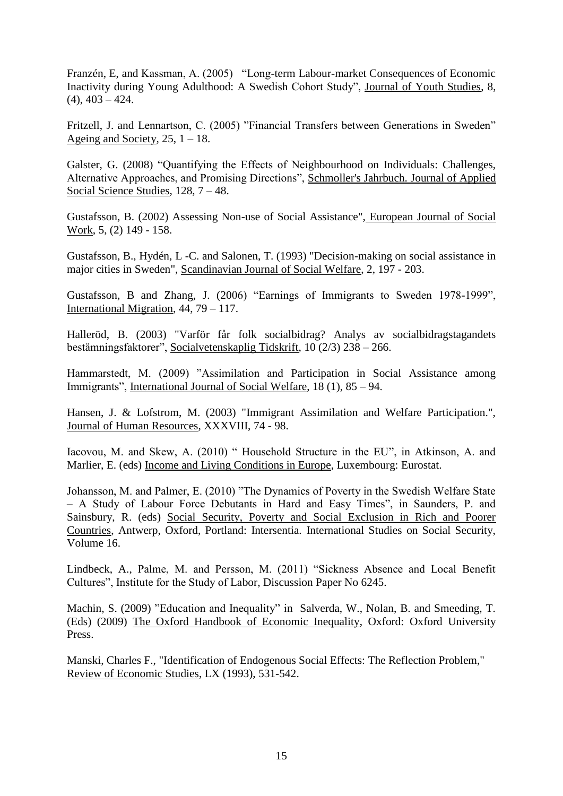Franzén, E, and Kassman, A. (2005) "Long-term Labour-market Consequences of Economic Inactivity during Young Adulthood: A Swedish Cohort Study", Journal of Youth Studies, 8,  $(4)$ ,  $403 - 424$ .

Fritzell, J. and Lennartson, C. (2005) "Financial Transfers between Generations in Sweden" Ageing and Society,  $25$ ,  $1 - 18$ .

Galster, G. (2008) "Quantifying the Effects of Neighbourhood on Individuals: Challenges, Alternative Approaches, and Promising Directions", Schmoller's Jahrbuch. Journal of Applied Social Science Studies, 128, 7 – 48.

Gustafsson, B. (2002) Assessing Non-use of Social Assistance", European Journal of Social Work, 5, (2) 149 - 158.

Gustafsson, B., Hydén, L -C. and Salonen, T. (1993) "Decision-making on social assistance in major cities in Sweden", Scandinavian Journal of Social Welfare, 2, 197 - 203.

Gustafsson, B and Zhang, J. (2006) "Earnings of Immigrants to Sweden 1978-1999", International Migration, 44, 79 – 117.

Halleröd, B. (2003) "Varför får folk socialbidrag? Analys av socialbidragstagandets bestämningsfaktorer", Socialvetenskaplig Tidskrift, 10 (2/3) 238 – 266.

Hammarstedt, M. (2009) "Assimilation and Participation in Social Assistance among Immigrants", International Journal of Social Welfare, 18 (1), 85 – 94.

Hansen, J. & Lofstrom, M. (2003) "Immigrant Assimilation and Welfare Participation.", Journal of Human Resources, XXXVIII, 74 - 98.

Iacovou, M. and Skew, A. (2010) " Household Structure in the EU", in Atkinson, A. and Marlier, E. (eds) Income and Living Conditions in Europe, Luxembourg: Eurostat.

Johansson, M. and Palmer, E. (2010) "The Dynamics of Poverty in the Swedish Welfare State – A Study of Labour Force Debutants in Hard and Easy Times", in Saunders, P. and Sainsbury, R. (eds) Social Security, Poverty and Social Exclusion in Rich and Poorer Countries, Antwerp, Oxford, Portland: Intersentia. International Studies on Social Security, Volume 16.

Lindbeck, A., Palme, M. and Persson, M. (2011) "Sickness Absence and Local Benefit Cultures", Institute for the Study of Labor, Discussion Paper No 6245.

Machin, S. (2009) "Education and Inequality" in Salverda, W., Nolan, B. and Smeeding, T. (Eds) (2009) The Oxford Handbook of Economic Inequality, Oxford: Oxford University Press.

Manski, Charles F., "Identification of Endogenous Social Effects: The Reflection Problem," Review of Economic Studies, LX (1993), 531-542.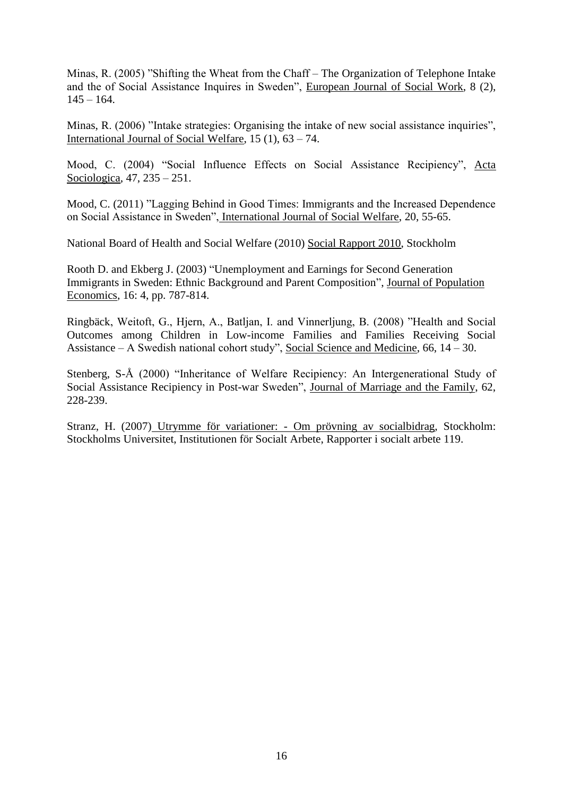Minas, R. (2005) "Shifting the Wheat from the Chaff – The Organization of Telephone Intake and the of Social Assistance Inquires in Sweden", European Journal of Social Work, 8 (2),  $145 - 164.$ 

Minas, R. (2006) "Intake strategies: Organising the intake of new social assistance inquiries", International Journal of Social Welfare, 15 (1), 63 – 74.

Mood, C. (2004) "Social Influence Effects on Social Assistance Recipiency", Acta Sociologica, 47, 235 – 251.

Mood, C. (2011) "Lagging Behind in Good Times: Immigrants and the Increased Dependence on Social Assistance in Sweden", International Journal of Social Welfare, 20, 55-65.

National Board of Health and Social Welfare (2010) Social Rapport 2010, Stockholm

Rooth D. and Ekberg J. (2003) "Unemployment and Earnings for Second Generation Immigrants in Sweden: Ethnic Background and Parent Composition", Journal of Population Economics, 16: 4, pp. 787-814.

Ringbäck, Weitoft, G., Hjern, A., Batljan, I. and Vinnerljung, B. (2008) "Health and Social Outcomes among Children in Low-income Families and Families Receiving Social Assistance – A Swedish national cohort study", Social Science and Medicine, 66, 14 – 30.

Stenberg, S-Å (2000) "Inheritance of Welfare Recipiency: An Intergenerational Study of Social Assistance Recipiency in Post-war Sweden", Journal of Marriage and the Family, 62, 228-239.

Stranz, H. (2007) Utrymme för variationer: - Om prövning av socialbidrag, Stockholm: Stockholms Universitet, Institutionen för Socialt Arbete, Rapporter i socialt arbete 119.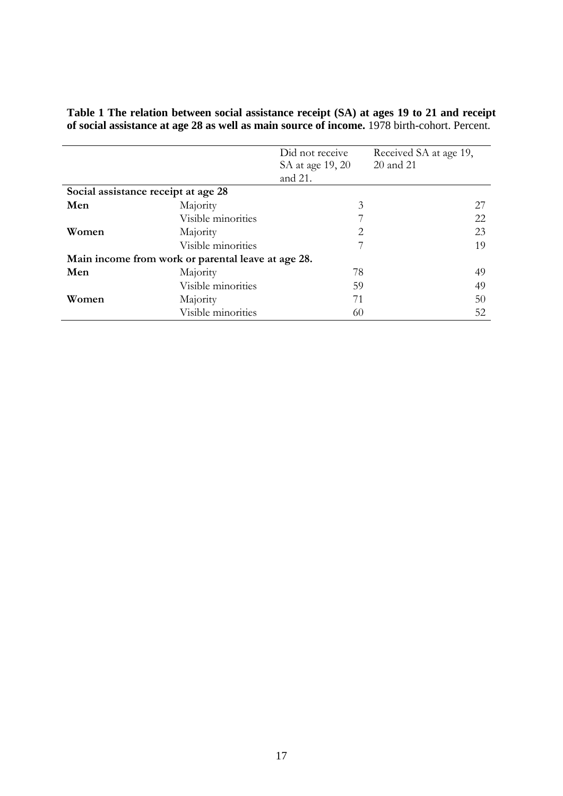|                                     |                                                    | Did not receive  | Received SA at age 19, |
|-------------------------------------|----------------------------------------------------|------------------|------------------------|
|                                     |                                                    | SA at age 19, 20 | 20 and 21              |
|                                     |                                                    | and 21.          |                        |
| Social assistance receipt at age 28 |                                                    |                  |                        |
| Men                                 | Majority                                           | 3                | 27                     |
|                                     | Visible minorities                                 |                  | 22                     |
| Women                               | Majority                                           | 2                | 23                     |
|                                     | Visible minorities                                 |                  | 19                     |
|                                     | Main income from work or parental leave at age 28. |                  |                        |
| Men                                 | Majority                                           | 78               | 49                     |
|                                     | Visible minorities                                 | 59               | 49                     |
| Women                               | Majority                                           | 71               | 50                     |
|                                     | Visible minorities                                 | 60               | 52                     |

**Table 1 The relation between social assistance receipt (SA) at ages 19 to 21 and receipt of social assistance at age 28 as well as main source of income.** 1978 birth-cohort. Percent.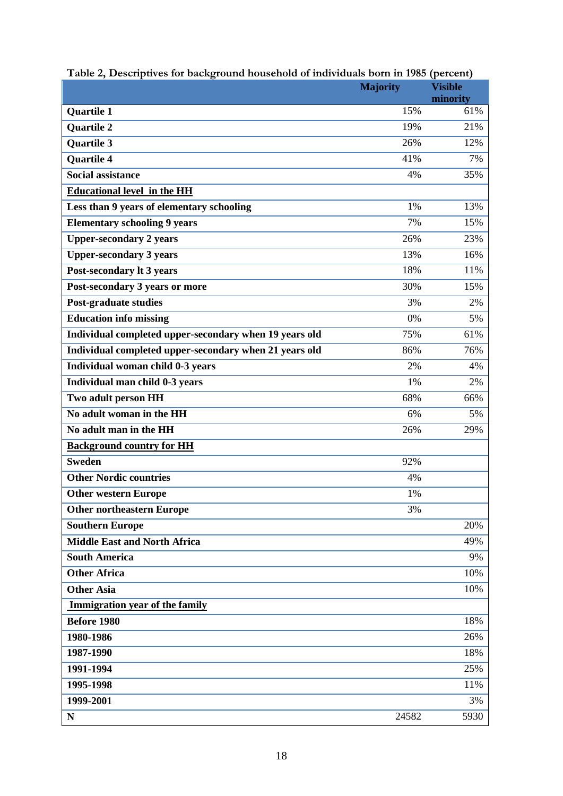|                                                        | <b>Majority</b> | <b>Visible</b> |
|--------------------------------------------------------|-----------------|----------------|
|                                                        |                 | minority       |
| <b>Quartile 1</b>                                      | 15%             | 61%            |
| <b>Quartile 2</b>                                      | 19%             | 21%            |
| <b>Quartile 3</b>                                      | 26%             | 12%            |
| <b>Quartile 4</b>                                      | 41%             | 7%             |
| <b>Social assistance</b>                               | 4%              | 35%            |
| <b>Educational level in the HH</b>                     |                 |                |
| Less than 9 years of elementary schooling              | 1%              | 13%            |
| <b>Elementary schooling 9 years</b>                    | 7%              | 15%            |
| <b>Upper-secondary 2 years</b>                         | 26%             | 23%            |
| <b>Upper-secondary 3 years</b>                         | 13%             | 16%            |
| Post-secondary It 3 years                              | 18%             | 11%            |
| Post-secondary 3 years or more                         | 30%             | 15%            |
| <b>Post-graduate studies</b>                           | 3%              | 2%             |
| <b>Education info missing</b>                          | 0%              | 5%             |
| Individual completed upper-secondary when 19 years old | 75%             | 61%            |
| Individual completed upper-secondary when 21 years old | 86%             | 76%            |
| Individual woman child 0-3 years                       | 2%              | 4%             |
| Individual man child 0-3 years                         | 1%              | 2%             |
| Two adult person HH                                    | 68%             | 66%            |
| No adult woman in the HH                               | 6%              | 5%             |
| No adult man in the HH                                 | 26%             | 29%            |
| <b>Background country for HH</b>                       |                 |                |
| <b>Sweden</b>                                          | 92%             |                |
| <b>Other Nordic countries</b>                          | 4%              |                |
| <b>Other western Europe</b>                            | 1%              |                |
| <b>Other northeastern Europe</b>                       | 3%              |                |
| <b>Southern Europe</b>                                 |                 | 20%            |
| <b>Middle East and North Africa</b>                    |                 | 49%            |
| <b>South America</b>                                   |                 | 9%             |
| <b>Other Africa</b>                                    |                 | 10%            |
| <b>Other Asia</b>                                      |                 | 10%            |
| Immigration year of the family                         |                 |                |
| <b>Before 1980</b>                                     |                 | 18%            |
| 1980-1986                                              |                 | 26%            |
| 1987-1990                                              |                 | 18%            |
| 1991-1994                                              |                 | 25%            |
| 1995-1998                                              |                 | 11%            |
| 1999-2001                                              |                 | 3%             |
| N                                                      | 24582           | 5930           |

|  | Table 2, Descriptives for background household of individuals born in 1985 (percent) |  |  |
|--|--------------------------------------------------------------------------------------|--|--|
|  |                                                                                      |  |  |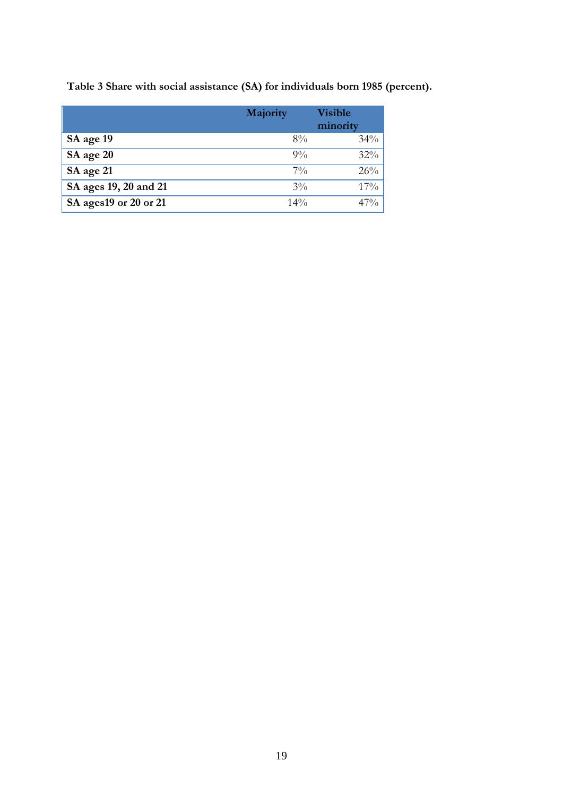|                        | Majority | <b>Visible</b><br>minority |
|------------------------|----------|----------------------------|
| SA age 19              | $8\%$    | $34\%$                     |
| SA age 20              | $9\%$    | $32\%$                     |
| SA age 21              | $7\%$    | 26%                        |
| SA ages 19, 20 and 21  | $3\%$    | $17\%$                     |
| SA ages 19 or 20 or 21 | $14\%$   | $47\%$                     |

**Table 3 Share with social assistance (SA) for individuals born 1985 (percent).**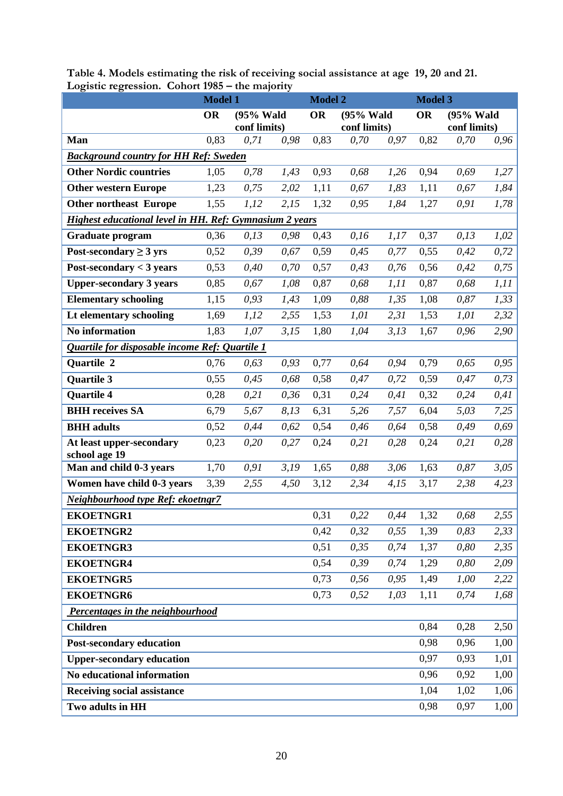|                                                         | <b>Model 1</b> |              |      | <b>Model 2</b>         |              |      | <b>Model 3</b> |              |      |
|---------------------------------------------------------|----------------|--------------|------|------------------------|--------------|------|----------------|--------------|------|
|                                                         | <b>OR</b>      | (95% Wald    |      | <b>OR</b><br>(95% Wald |              |      | <b>OR</b>      | (95% Wald    |      |
|                                                         |                | conf limits) |      |                        | conf limits) |      |                | conf limits) |      |
| Man                                                     | 0,83           | 0,71         | 0,98 | 0,83                   | 0,70         | 0,97 | 0,82           | 0,70         | 0,96 |
| <b>Background country for HH Ref: Sweden</b>            | 1,05           |              |      |                        |              |      |                |              |      |
| <b>Other Nordic countries</b>                           |                | 0,78         | 1,43 | 0,93                   | 0,68         | 1,26 | 0,94           | 0,69         | 1,27 |
| <b>Other western Europe</b>                             | 1,23           | 0,75         | 2,02 | 1,11                   | 0,67         | 1,83 | 1,11           | 0,67         | 1,84 |
| <b>Other northeast Europe</b>                           | 1,55           | 1,12         | 2,15 | 1,32                   | 0,95         | 1,84 | 1,27           | 0,91         | 1,78 |
| Highest educational level in HH. Ref: Gymnasium 2 years |                |              |      |                        |              |      |                |              |      |
| <b>Graduate program</b>                                 | 0,36           | 0, 13        | 0,98 | 0,43                   | 0,16         | 1,17 | 0,37           | 0,13         | 1,02 |
| Post-secondary $\geq$ 3 yrs                             | 0,52           | 0,39         | 0,67 | 0,59                   | 0,45         | 0,77 | 0,55           | 0,42         | 0,72 |
| Post-secondary $<$ 3 years                              | 0,53           | 0,40         | 0,70 | 0,57                   | 0,43         | 0,76 | 0,56           | 0,42         | 0,75 |
| <b>Upper-secondary 3 years</b>                          | 0,85           | 0,67         | 1,08 | 0,87                   | 0,68         | 1,11 | 0,87           | 0,68         | 1,11 |
| <b>Elementary schooling</b>                             | 1,15           | 0,93         | 1,43 | 1,09                   | 0,88         | 1,35 | 1,08           | 0,87         | 1,33 |
| Lt elementary schooling                                 | 1,69           | 1,12         | 2,55 | 1,53                   | 1,01         | 2,31 | 1,53           | 1,01         | 2,32 |
| No information                                          | 1,83           | 1,07         | 3,15 | 1,80                   | 1,04         | 3,13 | 1,67           | 0,96         | 2,90 |
| Quartile for disposable income Ref: Quartile 1          |                |              |      |                        |              |      |                |              |      |
| <b>Quartile 2</b>                                       | 0,76           | 0,63         | 0,93 | 0,77                   | 0,64         | 0,94 | 0,79           | 0,65         | 0,95 |
| Quartile 3                                              | 0,55           | 0,45         | 0,68 | 0,58                   | 0,47         | 0,72 | 0,59           | 0,47         | 0,73 |
| <b>Quartile 4</b>                                       | 0,28           | 0,21         | 0,36 | 0,31                   | 0,24         | 0,41 | 0,32           | 0,24         | 0,41 |
| <b>BHH</b> receives SA                                  | 6,79           | 5,67         | 8,13 | 6,31                   | 5,26         | 7,57 | 6,04           | 5,03         | 7,25 |
| <b>BHH</b> adults                                       | 0,52           | 0,44         | 0,62 | 0,54                   | 0,46         | 0,64 | 0,58           | 0,49         | 0,69 |
| At least upper-secondary<br>school age 19               | 0,23           | 0,20         | 0,27 | 0,24                   | 0,21         | 0,28 | 0,24           | 0,21         | 0,28 |
| Man and child 0-3 years                                 | 1,70           | 0,91         | 3,19 | 1,65                   | 0,88         | 3,06 | 1,63           | 0,87         | 3,05 |
| Women have child 0-3 years                              | 3,39           | 2,55         | 4,50 | 3,12                   | 2,34         | 4,15 | 3,17           | 2,38         | 4,23 |
| Neighbourhood type Ref: ekoetngr7                       |                |              |      |                        |              |      |                |              |      |
| <b>EKOETNGR1</b>                                        |                |              |      | 0,31                   | 0,22         | 0,44 | 1,32           | 0,68         | 2,55 |
| <b>EKOETNGR2</b>                                        |                |              |      | 0,42                   | 0,32         | 0,55 | 1,39           | 0,83         | 2,33 |
| <b>EKOETNGR3</b>                                        |                |              |      | 0,51                   | 0,35         | 0,74 | 1,37           | 0,80         | 2,35 |
| <b>EKOETNGR4</b>                                        |                |              |      | 0,54                   | 0,39         | 0,74 | 1,29           | 0,80         | 2,09 |
| <b>EKOETNGR5</b>                                        |                |              |      | 0,73                   | 0,56         | 0,95 | 1,49           | 1,00         | 2,22 |
| <b>EKOETNGR6</b>                                        |                |              |      | 0,73                   | 0,52         | 1,03 | 1,11           | 0,74         | 1,68 |
| Percentages in the neighbourhood                        |                |              |      |                        |              |      |                |              |      |
| <b>Children</b>                                         |                |              |      |                        |              |      | 0,84           | 0,28         | 2,50 |
| <b>Post-secondary education</b>                         |                |              |      |                        |              |      | 0,98           | 0,96         | 1,00 |
| <b>Upper-secondary education</b>                        |                |              |      |                        |              |      | 0,97           | 0,93         | 1,01 |
| No educational information                              |                |              |      |                        |              |      | 0,96           | 0,92         | 1,00 |
| <b>Receiving social assistance</b>                      |                |              |      |                        |              |      | 1,04           | 1,02         | 1,06 |
| Two adults in HH                                        |                |              |      |                        |              |      | 0,98           | 0,97         | 1,00 |

**Table 4. Models estimating the risk of receiving social assistance at age 19, 20 and 21. Logistic regression. Cohort 1985 – the majority**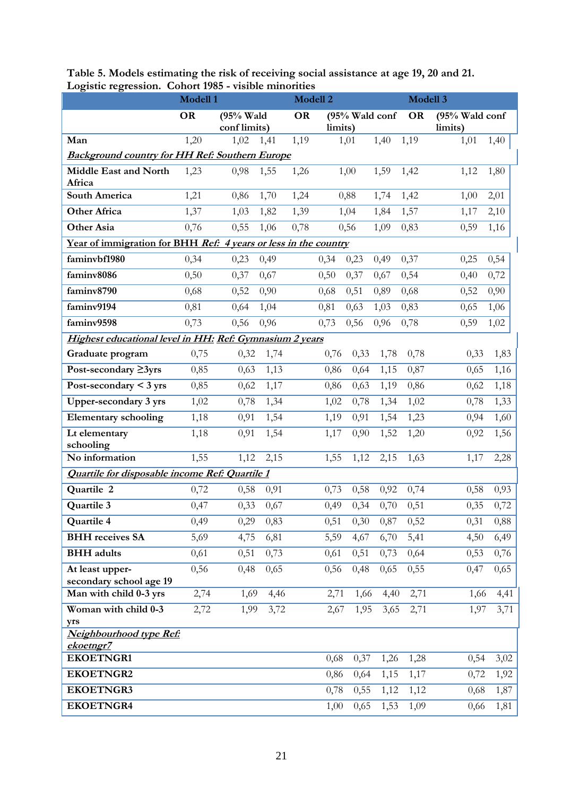| $\frac{1}{5}$<br>CO01011.                                       | <u>oonort 1700</u><br>Modell 1 | Modell 2                                 |      |      |           |                |      | Modell 3 |         |      |  |
|-----------------------------------------------------------------|--------------------------------|------------------------------------------|------|------|-----------|----------------|------|----------|---------|------|--|
|                                                                 | <b>OR</b>                      | <b>OR</b><br>(95% Wald<br>(95% Wald conf |      |      | <b>OR</b> | (95% Wald conf |      |          |         |      |  |
|                                                                 |                                | conf limits)                             |      |      | limits)   |                |      |          | limits) |      |  |
| Man                                                             | 1,20                           | 1,02                                     | 1,41 | 1,19 |           | 1,01           | 1,40 | 1,19     | 1,01    | 1,40 |  |
| <b>Background country for HH Ref: Southern Europe</b>           |                                |                                          |      |      |           |                |      |          |         |      |  |
| Middle East and North<br>Africa                                 | 1,23                           | 0,98                                     | 1,55 | 1,26 |           | 1,00           | 1,59 | 1,42     | 1,12    | 1,80 |  |
| <b>South America</b>                                            | 1,21                           | 0,86                                     | 1,70 | 1,24 |           | 0,88           | 1,74 | 1,42     | 1,00    | 2,01 |  |
| <b>Other Africa</b>                                             | 1,37                           | 1,03                                     | 1,82 | 1,39 |           | 1,04           | 1,84 | 1,57     | 1,17    | 2,10 |  |
| <b>Other Asia</b>                                               | 0,76                           | 0,55                                     | 1,06 | 0,78 |           | 0,56           | 1,09 | 0,83     | 0,59    | 1,16 |  |
| Year of immigration for BHH Ref: 4 years or less in the country |                                |                                          |      |      |           |                |      |          |         |      |  |
| faminybf1980                                                    | 0,34                           | 0,23                                     | 0,49 |      | 0,34      | 0,23           | 0,49 | 0,37     | 0,25    | 0,54 |  |
| faminv8086                                                      | 0,50                           | 0,37                                     | 0,67 |      | 0,50      | 0,37           | 0,67 | 0,54     | 0,40    | 0,72 |  |
| faminv8790                                                      | 0,68                           | 0,52                                     | 0,90 |      | 0,68      | 0,51           | 0,89 | 0,68     | 0,52    | 0,90 |  |
| faminv9194                                                      | 0,81                           | 0,64                                     | 1,04 |      | 0,81      | 0,63           | 1,03 | 0,83     | 0,65    | 1,06 |  |
| faminv9598                                                      | 0,73                           | 0,56                                     | 0,96 |      | 0,73      | 0,56           | 0,96 | 0,78     | 0,59    | 1,02 |  |
| Highest educational level in HH: Ref: Gymnasium 2 years         |                                |                                          |      |      |           |                |      |          |         |      |  |
| Graduate program                                                | 0,75                           | 0,32                                     | 1,74 |      | 0,76      | 0,33           | 1,78 | 0,78     | 0,33    | 1,83 |  |
| Post-secondary ≥3yrs                                            | 0,85                           | 0,63                                     | 1,13 |      | 0,86      | 0,64           | 1,15 | 0,87     | 0,65    | 1,16 |  |
| Post-secondary $\leq$ 3 yrs                                     | 0,85                           | 0,62                                     | 1,17 |      | 0,86      | 0,63           | 1,19 | 0,86     | 0,62    | 1,18 |  |
| <b>Upper-secondary 3 yrs</b>                                    | 1,02                           | 0,78                                     | 1,34 |      | 1,02      | 0,78           | 1,34 | 1,02     | 0,78    | 1,33 |  |
| <b>Elementary schooling</b>                                     | 1,18                           | 0,91                                     | 1,54 |      | 1,19      | 0,91           | 1,54 | 1,23     | 0,94    | 1,60 |  |
| Lt elementary                                                   | 1,18                           | 0,91                                     | 1,54 |      | 1,17      | 0,90           | 1,52 | 1,20     | 0,92    | 1,56 |  |
| schooling<br>No information                                     | 1,55                           | 1,12                                     | 2,15 |      | 1,55      | 1,12           | 2,15 | 1,63     | 1,17    | 2,28 |  |
| Quartile for disposable income Ref: Quartile 1                  |                                |                                          |      |      |           |                |      |          |         |      |  |
| Quartile 2                                                      | 0,72                           | 0,58                                     | 0,91 |      | 0,73      | 0,58           | 0,92 | 0,74     | 0,58    | 0,93 |  |
| Quartile <sub>3</sub>                                           | 0,47                           | 0,33                                     | 0,67 |      | 0,49      | 0,34           | 0,70 | 0,51     | 0,35    | 0,72 |  |
| Quartile 4                                                      | 0,49                           | 0,29                                     | 0,83 |      | 0,51      | 0,30           | 0,87 | 0,52     | 0,31    | 0,88 |  |
| <b>BHH</b> receives SA                                          | 5,69                           | 4,75                                     | 6,81 |      | 5,59      | 4,67           | 6,70 | 5,41     | 4,50    | 6,49 |  |
| <b>BHH</b> adults                                               | 0,61                           | 0,51                                     | 0,73 |      | 0,61      | 0,51           | 0,73 | 0,64     | 0,53    | 0,76 |  |
| At least upper-                                                 | 0,56                           | 0,48                                     | 0,65 |      | 0,56      | 0,48           | 0,65 | 0,55     | 0,47    | 0,65 |  |
| secondary school age 19                                         |                                |                                          |      |      |           |                |      |          |         |      |  |
| Man with child 0-3 yrs                                          | 2,74                           | 1,69                                     | 4,46 |      | 2,71      | 1,66           | 4,40 | 2,71     | 1,66    | 4,41 |  |
| Woman with child 0-3                                            | 2,72                           | 1,99                                     | 3,72 |      | 2,67      | 1,95           | 3,65 | 2,71     | 1,97    | 3,71 |  |
| yrs<br>Neighbourhood type Ref:                                  |                                |                                          |      |      |           |                |      |          |         |      |  |
| ekoetngr7                                                       |                                |                                          |      |      |           |                |      |          |         |      |  |
| <b>EKOETNGR1</b>                                                |                                |                                          |      |      | 0,68      | 0,37           | 1,26 | 1,28     | 0,54    | 3,02 |  |
| <b>EKOETNGR2</b>                                                |                                |                                          |      |      | 0,86      | 0,64           | 1,15 | 1,17     | 0,72    | 1,92 |  |
| <b>EKOETNGR3</b>                                                |                                |                                          |      |      | 0,78      | 0,55           | 1,12 | 1,12     | 0,68    | 1,87 |  |
| <b>EKOETNGR4</b>                                                |                                |                                          |      |      | 1,00      | 0,65           | 1,53 | 1,09     | 0,66    | 1,81 |  |

**Table 5. Models estimating the risk of receiving social assistance at age 19, 20 and 21. Logistic regression. Cohort 1985 - visible minorities**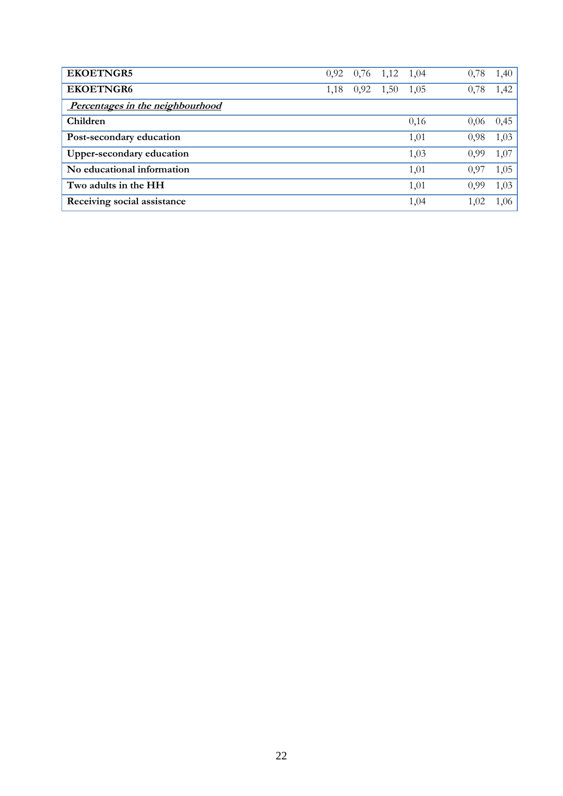| <b>EKOETNGR5</b>                 |      | $0,92$ 0,76 | 1,12 | 1,04 | 0,78 | 1,40 |
|----------------------------------|------|-------------|------|------|------|------|
| <b>EKOETNGR6</b>                 | 1,18 | 0,92        | 1,50 | 1,05 | 0,78 | 1,42 |
| Percentages in the neighbourhood |      |             |      |      |      |      |
| Children                         |      |             |      | 0,16 | 0.06 | 0,45 |
| Post-secondary education         |      |             |      | 1,01 | 0,98 | 1,03 |
| Upper-secondary education        |      |             |      | 1,03 | 0.99 | 1,07 |
| No educational information       |      |             |      | 1,01 | 0,97 | 1,05 |
| Two adults in the HH             |      |             |      | 1,01 | 0.99 | 1,03 |
| Receiving social assistance      |      |             |      | 1,04 | 1,02 | 1.06 |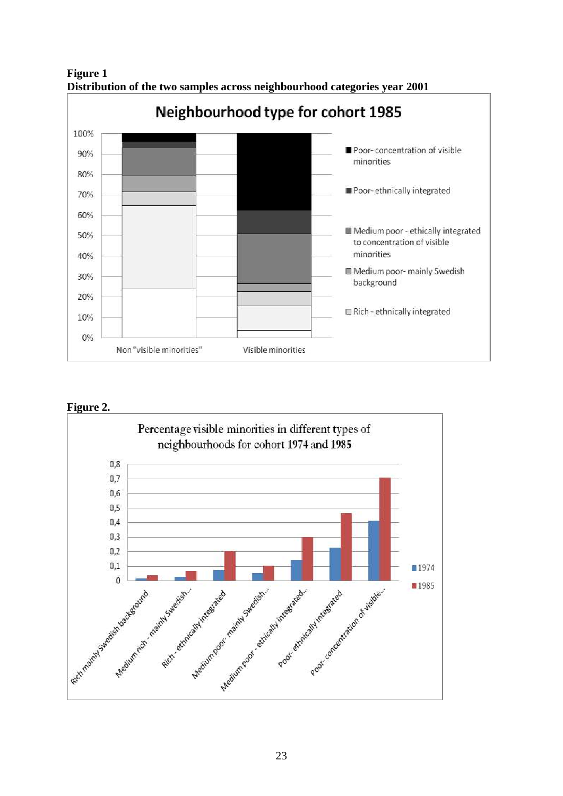



# **Figure 2.**

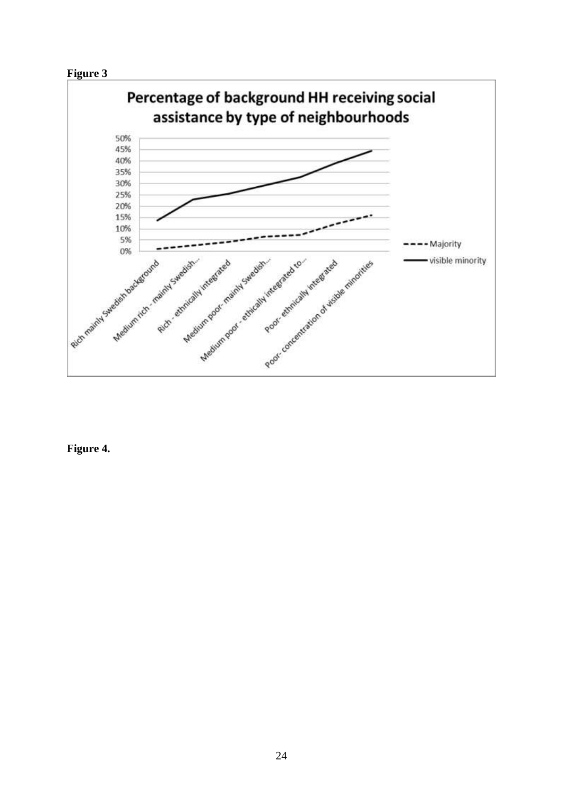



**Figure 4.**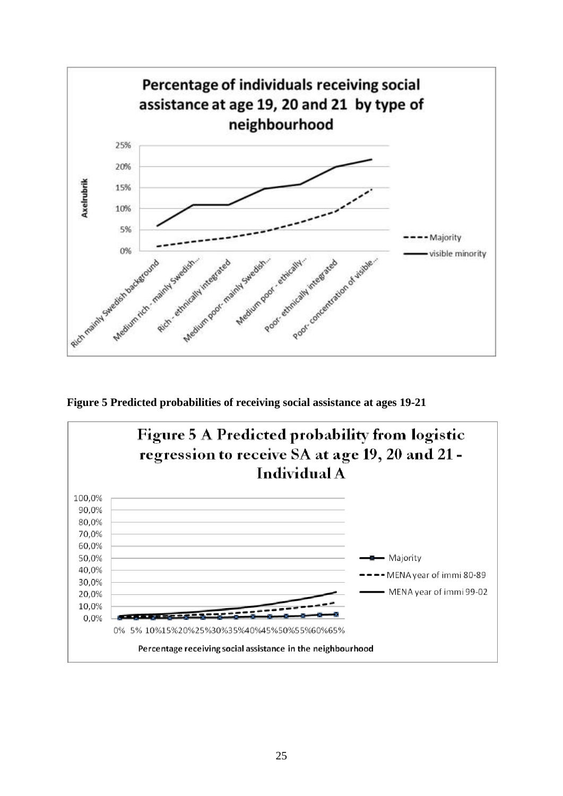

**Figure 5 Predicted probabilities of receiving social assistance at ages 19-21**